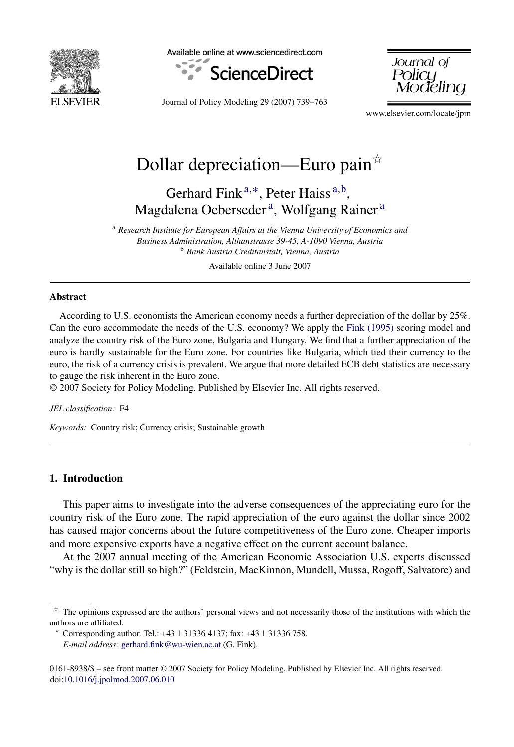

Available online at www.sciencedirect.com



Journal of Policu

Journal of Policy Modeling 29 (2007) 739–763

www.elsevier.com/locate/jpm

# Dollar depreciation—Euro pain $\overline{x}$

Gerhard Fink  $a, *$ , Peter Haiss  $a, b$ , Magdalena Oeberseder<sup>a</sup>, Wolfgang Rainer<sup>a</sup>

<sup>a</sup> *Research Institute for European Affairs at the Vienna University of Economics and Business Administration, Althanstrasse 39-45, A-1090 Vienna, Austria* <sup>b</sup> *Bank Austria Creditanstalt, Vienna, Austria*

Available online 3 June 2007

#### **Abstract**

According to U.S. economists the American economy needs a further depreciation of the dollar by 25%. Can the euro accommodate the needs of the U.S. economy? We apply the [Fink \(1995\)](#page--1-0) scoring model and analyze the country risk of the Euro zone, Bulgaria and Hungary. We find that a further appreciation of the euro is hardly sustainable for the Euro zone. For countries like Bulgaria, which tied their currency to the euro, the risk of a currency crisis is prevalent. We argue that more detailed ECB debt statistics are necessary to gauge the risk inherent in the Euro zone.

© 2007 Society for Policy Modeling. Published by Elsevier Inc. All rights reserved.

*JEL classification:* F4

*Keywords:* Country risk; Currency crisis; Sustainable growth

### **1. Introduction**

This paper aims to investigate into the adverse consequences of the appreciating euro for the country risk of the Euro zone. The rapid appreciation of the euro against the dollar since 2002 has caused major concerns about the future competitiveness of the Euro zone. Cheaper imports and more expensive exports have a negative effect on the current account balance.

At the 2007 annual meeting of the American Economic Association U.S. experts discussed "why is the dollar still so high?" (Feldstein, MacKinnon, Mundell, Mussa, Rogoff, Salvatore) and

0161-8938/\$ – see front matter © 2007 Society for Policy Modeling. Published by Elsevier Inc. All rights reserved. doi[:10.1016/j.jpolmod.2007.06.010](dx.doi.org/10.1016/j.jpolmod.2007.06.010)

 $\dot{x}$  The opinions expressed are the authors' personal views and not necessarily those of the institutions with which the authors are affiliated.

<sup>∗</sup> Corresponding author. Tel.: +43 1 31336 4137; fax: +43 1 31336 758.

*E-mail address:* [gerhard.fink@wu-wien.ac.at](mailto:gerhard.fink@wu-wien.ac.at) (G. Fink).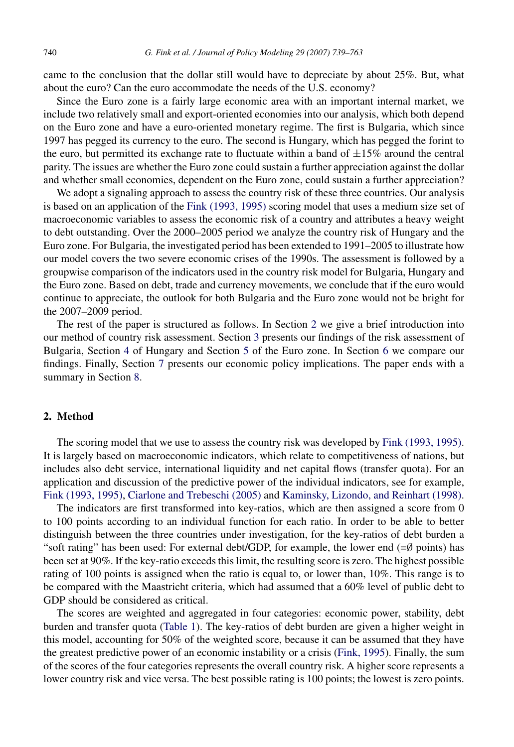came to the conclusion that the dollar still would have to depreciate by about 25%. But, what about the euro? Can the euro accommodate the needs of the U.S. economy?

Since the Euro zone is a fairly large economic area with an important internal market, we include two relatively small and export-oriented economies into our analysis, which both depend on the Euro zone and have a euro-oriented monetary regime. The first is Bulgaria, which since 1997 has pegged its currency to the euro. The second is Hungary, which has pegged the forint to the euro, but permitted its exchange rate to fluctuate within a band of  $\pm 15\%$  around the central parity. The issues are whether the Euro zone could sustain a further appreciation against the dollar and whether small economies, dependent on the Euro zone, could sustain a further appreciation?

We adopt a signaling approach to assess the country risk of these three countries. Our analysis is based on an application of the [Fink \(1993, 1995\)](#page--1-0) scoring model that uses a medium size set of macroeconomic variables to assess the economic risk of a country and attributes a heavy weight to debt outstanding. Over the 2000–2005 period we analyze the country risk of Hungary and the Euro zone. For Bulgaria, the investigated period has been extended to 1991–2005 to illustrate how our model covers the two severe economic crises of the 1990s. The assessment is followed by a groupwise comparison of the indicators used in the country risk model for Bulgaria, Hungary and the Euro zone. Based on debt, trade and currency movements, we conclude that if the euro would continue to appreciate, the outlook for both Bulgaria and the Euro zone would not be bright for the 2007–2009 period.

The rest of the paper is structured as follows. In Section 2 we give a brief introduction into our method of country risk assessment. Section [3](#page--1-0) presents our findings of the risk assessment of Bulgaria, Section [4](#page--1-0) of Hungary and Section [5](#page--1-0) of the Euro zone. In Section [6](#page--1-0) we compare our findings. Finally, Section [7](#page--1-0) presents our economic policy implications. The paper ends with a summary in Section [8.](#page--1-0)

#### **2. Method**

The scoring model that we use to assess the country risk was developed by [Fink \(1993, 1995\).](#page--1-0) It is largely based on macroeconomic indicators, which relate to competitiveness of nations, but includes also debt service, international liquidity and net capital flows (transfer quota). For an application and discussion of the predictive power of the individual indicators, see for example, [Fink \(1993, 1995\),](#page--1-0) [Ciarlone and Trebeschi \(2005\)](#page--1-0) and [Kaminsky, Lizondo, and Reinhart \(1998\).](#page--1-0)

The indicators are first transformed into key-ratios, which are then assigned a score from 0 to 100 points according to an individual function for each ratio. In order to be able to better distinguish between the three countries under investigation, for the key-ratios of debt burden a "soft rating" has been used: For external debt/GDP, for example, the lower end ( $=$ Ø points) has been set at 90%. If the key-ratio exceeds this limit, the resulting score is zero. The highest possible rating of 100 points is assigned when the ratio is equal to, or lower than, 10%. This range is to be compared with the Maastricht criteria, which had assumed that a 60% level of public debt to GDP should be considered as critical.

The scores are weighted and aggregated in four categories: economic power, stability, debt burden and transfer quota ([Table 1\).](#page--1-0) The key-ratios of debt burden are given a higher weight in this model, accounting for 50% of the weighted score, because it can be assumed that they have the greatest predictive power of an economic instability or a crisis [\(Fink, 1995\).](#page--1-0) Finally, the sum of the scores of the four categories represents the overall country risk. A higher score represents a lower country risk and vice versa. The best possible rating is 100 points; the lowest is zero points.